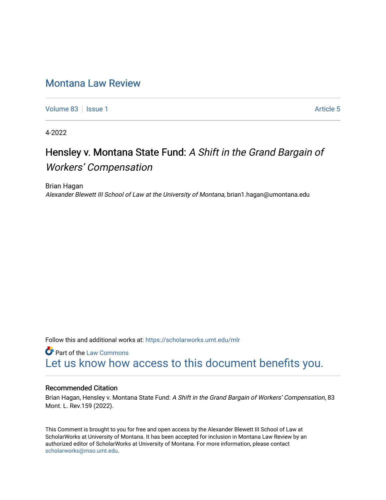# [Montana Law Review](https://scholarworks.umt.edu/mlr)

[Volume 83](https://scholarworks.umt.edu/mlr/vol83) | [Issue 1](https://scholarworks.umt.edu/mlr/vol83/iss1) Article 5

4-2022

# Hensley v. Montana State Fund: A Shift in the Grand Bargain of Workers' Compensation

Brian Hagan Alexander Blewett III School of Law at the University of Montana, brian1.hagan@umontana.edu

Follow this and additional works at: [https://scholarworks.umt.edu/mlr](https://scholarworks.umt.edu/mlr?utm_source=scholarworks.umt.edu%2Fmlr%2Fvol83%2Fiss1%2F5&utm_medium=PDF&utm_campaign=PDFCoverPages) 

**Part of the [Law Commons](https://network.bepress.com/hgg/discipline/578?utm_source=scholarworks.umt.edu%2Fmlr%2Fvol83%2Fiss1%2F5&utm_medium=PDF&utm_campaign=PDFCoverPages)** [Let us know how access to this document benefits you.](https://goo.gl/forms/s2rGfXOLzz71qgsB2) 

# Recommended Citation

Brian Hagan, Hensley v. Montana State Fund: A Shift in the Grand Bargain of Workers' Compensation, 83 Mont. L. Rev.159 (2022).

This Comment is brought to you for free and open access by the Alexander Blewett III School of Law at ScholarWorks at University of Montana. It has been accepted for inclusion in Montana Law Review by an authorized editor of ScholarWorks at University of Montana. For more information, please contact [scholarworks@mso.umt.edu.](mailto:scholarworks@mso.umt.edu)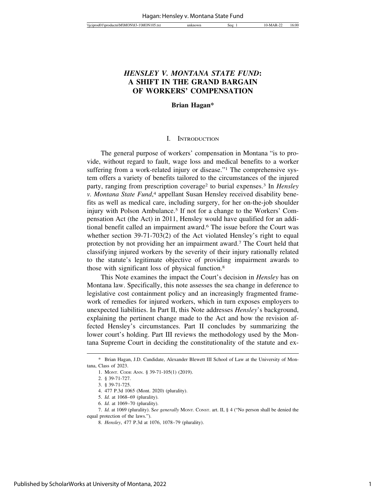# *HENSLEY V. MONTANA STATE FUND***: A SHIFT IN THE GRAND BARGAIN OF WORKERS' COMPENSATION**

#### **Brian Hagan\***

# I. INTRODUCTION

The general purpose of workers' compensation in Montana "is to provide, without regard to fault, wage loss and medical benefits to a worker suffering from a work-related injury or disease."<sup>1</sup> The comprehensive system offers a variety of benefits tailored to the circumstances of the injured party, ranging from prescription coverage2 to burial expenses.3 In *Hensley v. Montana State Fund*, 4 appellant Susan Hensley received disability benefits as well as medical care, including surgery, for her on-the-job shoulder injury with Polson Ambulance.5 If not for a change to the Workers' Compensation Act (the Act) in 2011, Hensley would have qualified for an additional benefit called an impairment award.6 The issue before the Court was whether section 39-71-703(2) of the Act violated Hensley's right to equal protection by not providing her an impairment award.7 The Court held that classifying injured workers by the severity of their injury rationally related to the statute's legitimate objective of providing impairment awards to those with significant loss of physical function.8

This Note examines the impact the Court's decision in *Hensley* has on Montana law. Specifically, this note assesses the sea change in deference to legislative cost containment policy and an increasingly fragmented framework of remedies for injured workers, which in turn exposes employers to unexpected liabilities. In Part II, this Note addresses *Hensley*'s background, explaining the pertinent change made to the Act and how the revision affected Hensley's circumstances. Part II concludes by summarizing the lower court's holding. Part III reviews the methodology used by the Montana Supreme Court in deciding the constitutionality of the statute and ex-

<sup>\*</sup> Brian Hagan, J.D. Candidate, Alexander Blewett III School of Law at the University of Montana, Class of 2023.

<sup>1.</sup> MONT. CODE ANN. § 39-71-105(1) (2019).

<sup>2. § 39-71-727.</sup>

<sup>3. § 39-71-725.</sup>

<sup>4. 477</sup> P.3d 1065 (Mont. 2020) (plurality).

<sup>5.</sup> *Id.* at 1068–69 (plurality).

<sup>6.</sup> *Id.* at 1069–70 (plurality).

<sup>7.</sup> *Id.* at 1069 (plurality). S*ee generally* MONT. CONST. art. II, § 4 ("No person shall be denied the equal protection of the laws.").

<sup>8.</sup> *Hensley*, 477 P.3d at 1076, 1078–79 (plurality).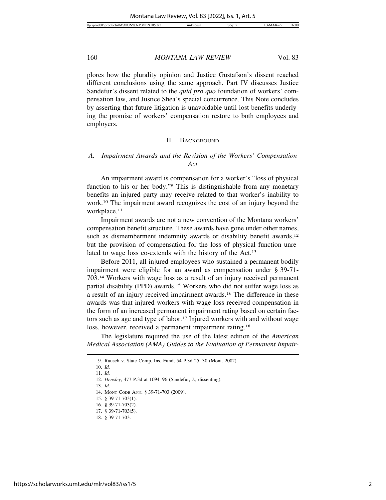plores how the plurality opinion and Justice Gustafson's dissent reached different conclusions using the same approach. Part IV discusses Justice Sandefur's dissent related to the *quid pro quo* foundation of workers' compensation law, and Justice Shea's special concurrence. This Note concludes by asserting that future litigation is unavoidable until lost benefits underlying the promise of workers' compensation restore to both employees and employers.

#### II. BACKGROUND

# *A. Impairment Awards and the Revision of the Workers' Compensation Act*

An impairment award is compensation for a worker's "loss of physical function to his or her body."9 This is distinguishable from any monetary benefits an injured party may receive related to that worker's inability to work.10 The impairment award recognizes the cost of an injury beyond the workplace.11

Impairment awards are not a new convention of the Montana workers' compensation benefit structure. These awards have gone under other names, such as dismemberment indemnity awards or disability benefit awards,<sup>12</sup> but the provision of compensation for the loss of physical function unrelated to wage loss co-extends with the history of the Act.13

Before 2011, all injured employees who sustained a permanent bodily impairment were eligible for an award as compensation under § 39-71- 703.14 Workers with wage loss as a result of an injury received permanent partial disability (PPD) awards.15 Workers who did not suffer wage loss as a result of an injury received impairment awards.16 The difference in these awards was that injured workers with wage loss received compensation in the form of an increased permanent impairment rating based on certain factors such as age and type of labor.<sup>17</sup> Injured workers with and without wage loss, however, received a permanent impairment rating.<sup>18</sup>

The legislature required the use of the latest edition of the *American Medical Association (AMA) Guides to the Evaluation of Permanent Impair-*

13. *Id.*

<sup>9.</sup> Rausch v. State Comp. Ins. Fund, 54 P.3d 25, 30 (Mont. 2002).

<sup>10.</sup> *Id.* 11. *Id.*

<sup>12.</sup> *Hensley*, 477 P.3d at 1094–96 (Sandefur, J., dissenting).

<sup>14.</sup> MONT CODE ANN. § 39-71-703 (2009).

<sup>15. § 39-71-703(1).</sup>

<sup>16. § 39-71-703(2).</sup>

<sup>17. § 39-71-703(5).</sup>

<sup>18. § 39-71-703.</sup>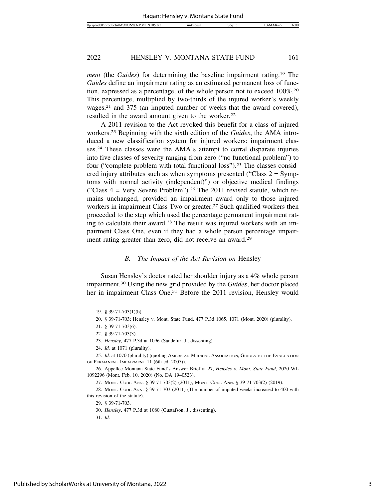*ment* (the *Guides*) for determining the baseline impairment rating.19 The *Guides* define an impairment rating as an estimated permanent loss of function, expressed as a percentage, of the whole person not to exceed 100%.20 This percentage, multiplied by two-thirds of the injured worker's weekly wages,<sup>21</sup> and 375 (an imputed number of weeks that the award covered), resulted in the award amount given to the worker.<sup>22</sup>

A 2011 revision to the Act revoked this benefit for a class of injured workers.23 Beginning with the sixth edition of the *Guides*, the AMA introduced a new classification system for injured workers: impairment classes.24 These classes were the AMA's attempt to corral disparate injuries into five classes of severity ranging from zero ("no functional problem") to four ("complete problem with total functional loss").25 The classes considered injury attributes such as when symptoms presented ("Class  $2 = Symp$ toms with normal activity (independent)") or objective medical findings ("Class  $4 = \text{Very Severe Problem}$ ").<sup>26</sup> The 2011 revised statute, which remains unchanged, provided an impairment award only to those injured workers in impairment Class Two or greater.<sup>27</sup> Such qualified workers then proceeded to the step which used the percentage permanent impairment rating to calculate their award.28 The result was injured workers with an impairment Class One, even if they had a whole person percentage impairment rating greater than zero, did not receive an award.29

#### *B. The Impact of the Act Revision on* Hensley

Susan Hensley's doctor rated her shoulder injury as a 4% whole person impairment.30 Using the new grid provided by the *Guides*, her doctor placed her in impairment Class One.<sup>31</sup> Before the 2011 revision, Hensley would

31. *Id.*

<sup>19. § 39-71-703(1)(</sup>b).

<sup>20. § 39-71-703;</sup> Hensley v. Mont. State Fund, 477 P.3d 1065, 1071 (Mont. 2020) (plurality).

<sup>21. § 39-71-703(6).</sup>

<sup>22. § 39-71-703(3).</sup>

<sup>23.</sup> *Hensley*, 477 P.3d at 1096 (Sandefur, J., dissenting).

<sup>24.</sup> *Id.* at 1071 (plurality).

<sup>25.</sup> *Id.* at 1070 (plurality) (quoting AMERICAN MEDICAL ASSOCIATION, GUIDES TO THE EVALUATION OF PERMANENT IMPAIRMENT 11 (6th ed. 2007)).

<sup>26.</sup> Appellee Montana State Fund's Answer Brief at 27, *Hensley v. Mont. State Fund*, 2020 WL 1092296 (Mont. Feb. 10, 2020) (No. DA 19–0523).

<sup>27.</sup> MONT. CODE ANN. § 39-71-703(2) (2011); MONT. CODE ANN. § 39-71-703(2) (2019).

<sup>28.</sup> MONT. CODE ANN. § 39-71-703 (2011) (The number of imputed weeks increased to 400 with this revision of the statute).

<sup>29. § 39-71-703.</sup>

<sup>30.</sup> *Hensley*, 477 P.3d at 1080 (Gustafson, J., dissenting).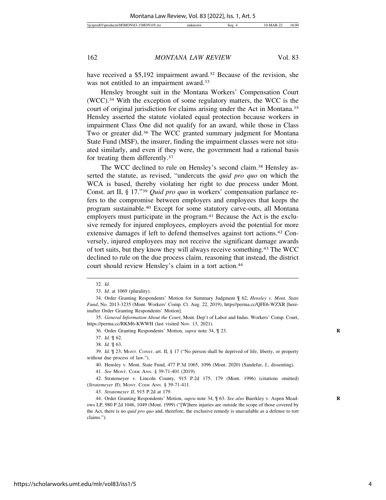have received a \$5,192 impairment award.<sup>32</sup> Because of the revision, she was not entitled to an impairment award.<sup>33</sup>

Hensley brought suit in the Montana Workers' Compensation Court (WCC).34 With the exception of some regulatory matters, the WCC is the court of original jurisdiction for claims arising under the Act in Montana.35 Hensley asserted the statute violated equal protection because workers in impairment Class One did not qualify for an award, while those in Class Two or greater did.36 The WCC granted summary judgment for Montana State Fund (MSF), the insurer, finding the impairment classes were not situated similarly, and even if they were, the government had a rational basis for treating them differently.37

The WCC declined to rule on Hensley's second claim.38 Hensley asserted the statute, as revised, "undercuts the *quid pro quo* on which the WCA is based, thereby violating her right to due process under Mont. Const. art II, § 17."39 *Quid pro quo* in workers' compensation parlance refers to the compromise between employers and employees that keeps the program sustainable.40 Except for some statutory carve-outs, all Montana employers must participate in the program.<sup>41</sup> Because the Act is the exclusive remedy for injured employees, employers avoid the potential for more extensive damages if left to defend themselves against tort actions.42 Conversely, injured employees may not receive the significant damage awards of tort suits, but they know they will always receive something.43 The WCC declined to rule on the due process claim, reasoning that instead, the district court should review Hensley's claim in a tort action.<sup>44</sup>

36. Order Granting Respondents' Motion, *supra* note 34, ¶ 23. **R**

38. *Id.* ¶ 63.

39. *Id.* ¶ 23; MONT. CONST. art. II, § 17 ("No person shall be deprived of life, liberty, or property without due process of law.").

40. Hensley v. Mont. State Fund, 477 P.3d 1065, 1096 (Mont. 2020) (Sandefur, J., dissenting).

41. *See* MONT. CODE ANN. § 39-71-401 (2019).

42. Stratemeyer v. Lincoln County, 915 P.2d 175, 179 (Mont. 1996) (citations omitted) (*Stratemeyer II*); MONT. CODE ANN. § 39-71-411.

43. *Stratemeyer II*, 915 P.2d at 179.

44. Order Granting Respondents' Motion, *supra* note 34, ¶ 63. *See also* Buerkley v. Aspen Mead- **R** ows LP, 980 P.2d 1046, 1049 (Mont. 1999) ("[W]here injuries are outside the scope of those covered by the Act, there is no *quid pro quo* and, therefore, the exclusive remedy is unavailable as a defense to tort claims.").

<sup>32.</sup> *Id.*

<sup>33.</sup> *Id.* at 1069 (plurality).

<sup>34.</sup> Order Granting Respondents' Motion for Summary Judgment ¶ 62, *Hensley v. Mont. State Fund*, No. 2013-3235 (Mont. Workers' Comp. Ct. Aug. 22, 2019), https//perma.cc/QFE6-WZXR [hereinafter Order Granting Respondents' Motion].

<sup>35.</sup> *General Information About the Court*, Mont. Dep't of Labor and Indus. Workers' Comp. Court, https://perma.cc/RKM6-KWWH (last visited Nov. 13, 2021).

<sup>37.</sup> *Id.* ¶ 62.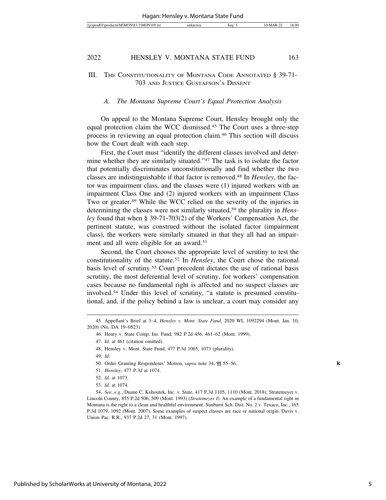# III. THE CONSTITUTIONALITY OF MONTANA CODE ANNOTATED § 39-71-703 AND JUSTICE GUSTAFSON'S DISSENT

#### *A. The Montana Supreme Court's Equal Protection Analysis*

On appeal to the Montana Supreme Court, Hensley brought only the equal protection claim the WCC dismissed.45 The Court uses a three-step process in reviewing an equal protection claim.46 This section will discuss how the Court dealt with each step.

First, the Court must "identify the different classes involved and determine whether they are similarly situated."47 The task is to isolate the factor that potentially discriminates unconstitutionally and find whether the two classes are indistinguishable if that factor is removed.48 In *Hensley*, the factor was impairment class, and the classes were (1) injured workers with an impairment Class One and (2) injured workers with an impairment Class Two or greater.49 While the WCC relied on the severity of the injuries in determining the classes were not similarly situated,50 the plurality in *Hensley* found that when § 39-71-703(2) of the Workers' Compensation Act, the pertinent statute, was construed without the isolated factor (impairment class), the workers were similarly situated in that they all had an impairment and all were eligible for an award.<sup>51</sup>

Second, the Court chooses the appropriate level of scrutiny to test the constitutionality of the statute.52 In *Hensley*, the Court chose the rational basis level of scrutiny.53 Court precedent dictates the use of rational basis scrutiny, the most deferential level of scrutiny, for workers' compensation cases because no fundamental right is affected and no suspect classes are involved.54 Under this level of scrutiny, "a statute is presumed constitutional, and, if the policy behind a law is unclear, a court may consider any

49. *Id.*

51. *Hensley*, 477 P.3d at 1074.

<sup>45.</sup> Appellant's Brief at 3–4, *Hensley v. Mont. State Fund*, 2020 WL 1092294 (Mont. Jan. 10, 2020) (No. DA 19–0523).

<sup>46.</sup> Henry v. State Comp. Ins. Fund, 982 P.2d 456, 461–62 (Mont. 1999).

<sup>47.</sup> *Id.* at 461 (citation omitted).

<sup>48.</sup> Hensley v. Mont. State Fund, 477 P.3d 1065, 1073 (plurality).

<sup>50.</sup> Order Granting Respondents' Motion, *supra* note 34, ¶¶ 55–56. **R**

<sup>52.</sup> *Id.* at 1073.

<sup>53.</sup> *Id.* at 1074.

<sup>54.</sup> *See, e.g.*, Duane C. Kohoutek, Inc. v. State, 417 P.3d 1105, 1110 (Mont. 2018); Stratemeyer v. Lincoln County, 855 P.2d 506, 509 (Mont. 1993) (*Stratemeyer I*). An example of a fundamental right in Montana is the right to a clean and healthful environment. Sunburst Sch. Dist. No. 2 v. Texaco, Inc., 165 P.3d 1079, 1092 (Mont. 2007). Some examples of suspect classes are race or national origin. Davis v. Union Pac. R.R., 937 P.2d 27, 31 (Mont. 1997).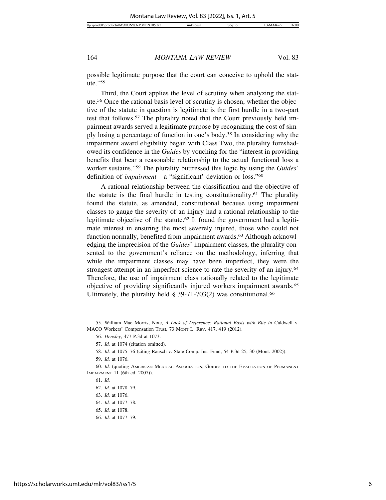possible legitimate purpose that the court can conceive to uphold the statute."55

Third, the Court applies the level of scrutiny when analyzing the statute.56 Once the rational basis level of scrutiny is chosen, whether the objective of the statute in question is legitimate is the first hurdle in a two-part test that follows.57 The plurality noted that the Court previously held impairment awards served a legitimate purpose by recognizing the cost of simply losing a percentage of function in one's body.58 In considering why the impairment award eligibility began with Class Two, the plurality foreshadowed its confidence in the *Guides* by vouching for the "interest in providing benefits that bear a reasonable relationship to the actual functional loss a worker sustains."59 The plurality buttressed this logic by using the *Guides*' definition of *impairment*—a "significant' deviation or loss."60

A rational relationship between the classification and the objective of the statute is the final hurdle in testing constitutionality.61 The plurality found the statute, as amended, constitutional because using impairment classes to gauge the severity of an injury had a rational relationship to the legitimate objective of the statute.62 It found the government had a legitimate interest in ensuring the most severely injured, those who could not function normally, benefited from impairment awards.<sup>63</sup> Although acknowledging the imprecision of the *Guides*' impairment classes, the plurality consented to the government's reliance on the methodology, inferring that while the impairment classes may have been imperfect, they were the strongest attempt in an imperfect science to rate the severity of an injury.<sup>64</sup> Therefore, the use of impairment class rationally related to the legitimate objective of providing significantly injured workers impairment awards.65 Ultimately, the plurality held  $\S$  39-71-703(2) was constitutional.<sup>66</sup>

66. *Id.* at 1077–79.

<sup>55.</sup> William Mac Morris, Note, *A Lack of Deference: Rational Basis with Bite in* Caldwell v. MACO Workers' Compensation Trust, 73 MONT L. REV. 417, 419 (2012).

<sup>56.</sup> *Hensley*, 477 P.3d at 1073.

<sup>57.</sup> *Id.* at 1074 (citation omitted).

<sup>58.</sup> *Id.* at 1075–76 (citing Rausch v. State Comp. Ins. Fund, 54 P.3d 25, 30 (Mont. 2002)).

<sup>59.</sup> *Id.* at 1076.

<sup>60.</sup> *Id.* (quoting AMERICAN MEDICAL ASSOCIATION, GUIDES TO THE EVALUATION OF PERMANENT IMPAIRMENT 11 (6th ed. 2007)).

<sup>61.</sup> *Id.*

<sup>62.</sup> *Id.* at 1078–79.

<sup>63.</sup> *Id.* at 1076.

<sup>64.</sup> *Id.* at 1077–78.

<sup>65.</sup> *Id.* at 1078.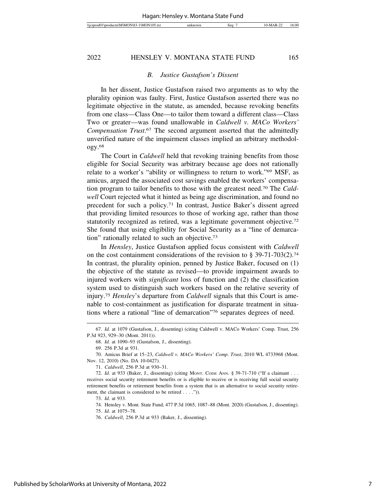#### *B. Justice Gustafson's Dissent*

In her dissent, Justice Gustafson raised two arguments as to why the plurality opinion was faulty. First, Justice Gustafson asserted there was no legitimate objective in the statute, as amended, because revoking benefits from one class—Class One—to tailor them toward a different class—Class Two or greater—was found unallowable in *Caldwell v. MACo Workers' Compensation Trust*. 67 The second argument asserted that the admittedly unverified nature of the impairment classes implied an arbitrary methodology.68

The Court in *Caldwell* held that revoking training benefits from those eligible for Social Security was arbitrary because age does not rationally relate to a worker's "ability or willingness to return to work."69 MSF, as amicus, argued the associated cost savings enabled the workers' compensation program to tailor benefits to those with the greatest need.70 The *Caldwell* Court rejected what it hinted as being age discrimination, and found no precedent for such a policy.71 In contrast, Justice Baker's dissent agreed that providing limited resources to those of working age, rather than those statutorily recognized as retired, was a legitimate government objective.72 She found that using eligibility for Social Security as a "line of demarcation" rationally related to such an objective.73

In *Hensley*, Justice Gustafson applied focus consistent with *Caldwell* on the cost containment considerations of the revision to  $\S 39-71-703(2)$ .<sup>74</sup> In contrast, the plurality opinion, penned by Justice Baker, focused on (1) the objective of the statute as revised—to provide impairment awards to injured workers with *significant* loss of function and (2) the classification system used to distinguish such workers based on the relative severity of injury.75 *Hensley*'s departure from *Caldwell* signals that this Court is amenable to cost-containment as justification for disparate treatment in situations where a rational "line of demarcation"76 separates degrees of need.

<sup>67.</sup> *Id.* at 1079 (Gustafson, J., dissenting) (citing Caldwell v. MACo Workers' Comp. Trust, 256 P.3d 923, 929–30 (Mont. 2011)).

<sup>68.</sup> *Id.* at 1090–93 (Gustafson, J., dissenting).

<sup>69. 256</sup> P.3d at 931.

<sup>70.</sup> Amicus Brief at 15–23, *Caldwell v. MACo Workers' Comp. Trust*, 2010 WL 4733968 (Mont. Nov. 12, 2010) (No. DA 10-0427).

<sup>71.</sup> *Caldwell*, 256 P.3d at 930–31.

<sup>72.</sup> *Id.* at 933 (Baker, J., dissenting) (citing MONT. CODE ANN. § 39-71-710 ("If a claimant . . . receives social security retirement benefits or is eligible to receive or is receiving full social security retirement benefits or retirement benefits from a system that is an alternative to social security retirement, the claimant is considered to be retired . . . .")).

<sup>73.</sup> *Id.* at 933.

<sup>74.</sup> Hensley v. Mont. State Fund, 477 P.3d 1065, 1087–88 (Mont. 2020) (Gustafson, J., dissenting).

<sup>75.</sup> *Id.* at 1075–78.

<sup>76.</sup> *Caldwell*, 256 P.3d at 933 (Baker, J., dissenting).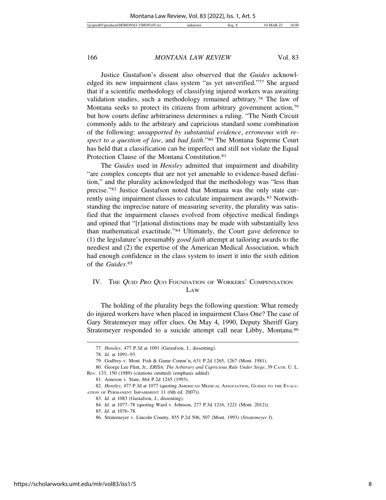Justice Gustafson's dissent also observed that the *Guides* acknowledged its new impairment class system "as yet unverified."77 She argued that if a scientific methodology of classifying injured workers was awaiting validation studies, such a methodology remained arbitrary.78 The law of Montana seeks to protect its citizens from arbitrary government action,79 but how courts define arbitrariness determines a ruling. "The Ninth Circuit commonly adds to the arbitrary and capricious standard some combination of the following: *unsupported by substantial evidence*, *erroneous with respect to a question of law*, and *bad faith*."80 The Montana Supreme Court has held that a classification can be imperfect and still not violate the Equal Protection Clause of the Montana Constitution.81

The *Guides* used in *Hensley* admitted that impairment and disability "are complex concepts that are not yet amenable to evidence-based definition," and the plurality acknowledged that the methodology was "less than precise."82 Justice Gustafson noted that Montana was the only state currently using impairment classes to calculate impairment awards.<sup>83</sup> Notwithstanding the imprecise nature of measuring severity, the plurality was satisfied that the impairment classes evolved from objective medical findings and opined that "[r]ational distinctions may be made with substantially less than mathematical exactitude."84 Ultimately, the Court gave deference to (1) the legislature's presumably *good faith* attempt at tailoring awards to the neediest and (2) the expertise of the American Medical Association, which had enough confidence in the class system to insert it into the sixth edition of the *Guides*. 85

# IV. THE QUID PRO QUO FOUNDATION OF WORKERS' COMPENSATION LAW

The holding of the plurality begs the following question: What remedy do injured workers have when placed in impairment Class One? The case of Gary Stratemeyer may offer clues. On May 4, 1990, Deputy Sheriff Gary Stratemeyer responded to a suicide attempt call near Libby, Montana.<sup>86</sup>

<sup>77.</sup> *Hensley*, 477 P.3d at 1091 (Gustafson, J., dissenting).

<sup>78.</sup> *Id.* at 1091–93.

<sup>79.</sup> Godfrey v. Mont. Fish & Game Comm'n, 631 P.2d 1265, 1267 (Mont. 1981).

<sup>80.</sup> George Lee Flint, Jr., *ERISA: The Arbitrary and Capricious Rule Under Siege*, 39 CATH. U. L. REV. 133, 150 (1989) (citations omitted) (emphasis added).

<sup>81.</sup> Arneson v. State, 864 P.2d 1245 (1993).

<sup>82.</sup> *Hensley*, 477 P.3d at 1077 (quoting AMERICAN MEDICAL ASSOCIATION, GUIDES TO THE EVALU-ATION OF PERMANENT IMPAIRMENT 11 (6th ed. 2007)).

<sup>83.</sup> *Id.* at 1083 (Gustafson, J., dissenting).

<sup>84.</sup> *Id.* at 1077–78 (quoting Ward v. Johnson, 277 P.3d 1216, 1221 (Mont. 2012)).

<sup>85.</sup> *Id.* at 1076–78.

<sup>86.</sup> Stratemeyer v. Lincoln County, 855 P.2d 506, 507 (Mont. 1993) (*Stratemeyer I*).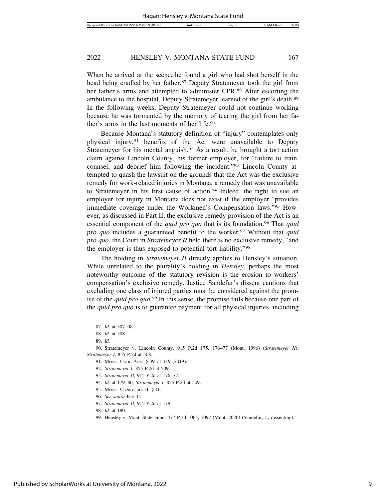When he arrived at the scene, he found a girl who had shot herself in the head being cradled by her father.<sup>87</sup> Deputy Stratemeyer took the girl from her father's arms and attempted to administer CPR.<sup>88</sup> After escorting the ambulance to the hospital, Deputy Stratemeyer learned of the girl's death.89 In the following weeks, Deputy Stratemeyer could not continue working because he was tormented by the memory of tearing the girl from her father's arms in the last moments of her life.90

Because Montana's statutory definition of "injury" contemplates only physical injury,91 benefits of the Act were unavailable to Deputy Stratemeyer for his mental anguish.<sup>92</sup> As a result, he brought a tort action claim against Lincoln County, his former employer, for "failure to train, counsel, and debrief him following the incident."93 Lincoln County attempted to quash the lawsuit on the grounds that the Act was the exclusive remedy for work-related injuries in Montana, a remedy that was unavailable to Stratemeyer in his first cause of action.94 Indeed, the right to sue an employer for injury in Montana does not exist if the employer "provides immediate coverage under the Workmen's Compensation laws."95 However, as discussed in Part II, the exclusive remedy provision of the Act is an essential component of the *quid pro quo* that is its foundation.<sup>96</sup> That *quid pro quo* includes a guaranteed benefit to the worker.<sup>97</sup> Without that *quid pro quo*, the Court in *Stratemeyer II* held there is no exclusive remedy, "and the employer is thus exposed to potential tort liability."98

The holding in *Stratemeyer II* directly applies to Hensley's situation. While unrelated to the plurality's holding in *Hensley*, perhaps the most noteworthy outcome of the statutory revision is the erosion to workers' compensation's exclusive remedy. Justice Sandefur's dissent cautions that excluding one class of injured parties must be considered against the promise of the *quid pro quo*. 99 In this sense, the promise fails because one part of the *quid pro quo* is to guarantee payment for all physical injuries, including

<sup>87.</sup> *Id.* at 507–08.

<sup>88.</sup> *Id.* at 508.

<sup>89.</sup> *Id.*

<sup>90.</sup> Stratemeyer v. Lincoln County, 915 P.2d 175, 176–77 (Mont. 1996) (*Stratemeyer II*); *Stratemeyer I*, 855 P.2d at 508.

<sup>91.</sup> MONT. CODE ANN. § 39-71-119 (2019).

<sup>92.</sup> *Stratemeyer I*, 855 P.2d at 509.

<sup>93.</sup> *Stratemeyer II*, 915 P.2d at 176–77.

<sup>94.</sup> *Id.* at 179–80; *Stratemeyer I*, 855 P.2d at 509.

<sup>95.</sup> MONT. CONST. art. II, § 16.

<sup>96.</sup> *See supra* Part II.

<sup>97.</sup> *Stratemeyer II*, 915 P.2d at 179.

<sup>98.</sup> *Id.* at 180.

<sup>99.</sup> Hensley v. Mont. State Fund, 477 P.3d 1065, 1097 (Mont. 2020) (Sandefur, J., dissenting).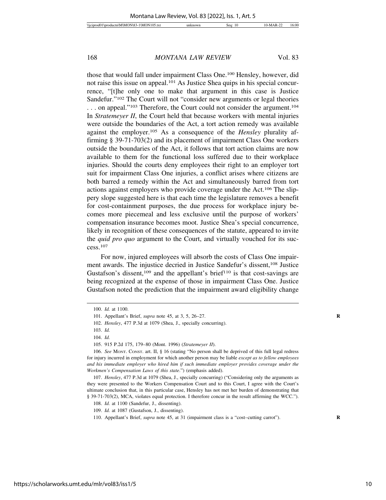those that would fall under impairment Class One.100 Hensley, however, did not raise this issue on appeal.101 As Justice Shea quips in his special concurrence, "[t]he only one to make that argument in this case is Justice Sandefur."102 The Court will not "consider new arguments or legal theories ... on appeal."<sup>103</sup> Therefore, the Court could not consider the argument.<sup>104</sup> In *Stratemeyer II*, the Court held that because workers with mental injuries were outside the boundaries of the Act, a tort action remedy was available against the employer.105 As a consequence of the *Hensley* plurality affirming § 39-71-703(2) and its placement of impairment Class One workers outside the boundaries of the Act, it follows that tort action claims are now available to them for the functional loss suffered due to their workplace injuries. Should the courts deny employees their right to an employer tort suit for impairment Class One injuries, a conflict arises where citizens are both barred a remedy within the Act and simultaneously barred from tort actions against employers who provide coverage under the Act.106 The slippery slope suggested here is that each time the legislature removes a benefit for cost-containment purposes, the due process for workplace injury becomes more piecemeal and less exclusive until the purpose of workers' compensation insurance becomes moot. Justice Shea's special concurrence, likely in recognition of these consequences of the statute, appeared to invite the *quid pro quo* argument to the Court, and virtually vouched for its success.107

For now, injured employees will absorb the costs of Class One impairment awards. The injustice decried in Justice Sandefur's dissent,108 Justice Gustafson's dissent,<sup>109</sup> and the appellant's brief<sup>110</sup> is that cost-savings are being recognized at the expense of those in impairment Class One. Justice Gustafson noted the prediction that the impairment award eligibility change

103. *Id.*

<sup>100.</sup> *Id.* at 1100.

<sup>101.</sup> Appellant's Brief, *supra* note 45, at 3, 5, 26–27. **R**

<sup>102.</sup> *Hensley*, 477 P.3d at 1079 (Shea, J., specially concurring).

<sup>104.</sup> *Id.*

<sup>105. 915</sup> P.2d 175, 179–80 (Mont. 1996) (*Stratemeyer II*).

<sup>106.</sup> *See* MONT. CONST. art. II, § 16 (stating "No person shall be deprived of this full legal redress for injury incurred in employment for which another person may be liable *except as to fellow employees and his immediate employer who hired him if such immediate employer provides coverage under the Workmen's Compensation Laws of this state*.") (emphasis added).

<sup>107.</sup> *Hensley*, 477 P.3d at 1079 (Shea, J., specially concurring) ("Considering only the arguments as they were presented to the Workers Compensation Court and to this Court, I agree with the Court's ultimate conclusion that, in this particular case, Hensley has not met her burden of demonstrating that § 39-71-703(2), MCA, violates equal protection. I therefore concur in the result affirming the WCC.").

<sup>108.</sup> *Id.* at 1100 (Sandefur, J., dissenting).

<sup>109.</sup> *Id.* at 1087 (Gustafson, J., dissenting).

<sup>110.</sup> Appellant's Brief, *supra* note 45, at 31 (impairment class is a "cost–cutting carrot"). **R**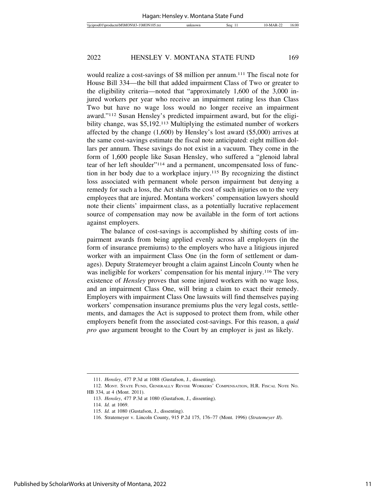would realize a cost-savings of \$8 million per annum.<sup>111</sup> The fiscal note for House Bill 334—the bill that added impairment Class of Two or greater to the eligibility criteria—noted that "approximately 1,600 of the 3,000 injured workers per year who receive an impairment rating less than Class Two but have no wage loss would no longer receive an impairment award."112 Susan Hensley's predicted impairment award, but for the eligibility change, was \$5,192.113 Multiplying the estimated number of workers affected by the change (1,600) by Hensley's lost award (\$5,000) arrives at the same cost-savings estimate the fiscal note anticipated: eight million dollars per annum. These savings do not exist in a vacuum. They come in the form of 1,600 people like Susan Hensley, who suffered a "glenoid labral tear of her left shoulder"114 and a permanent, uncompensated loss of function in her body due to a workplace injury.115 By recognizing the distinct loss associated with permanent whole person impairment but denying a remedy for such a loss, the Act shifts the cost of such injuries on to the very employees that are injured. Montana workers' compensation lawyers should note their clients' impairment class, as a potentially lucrative replacement source of compensation may now be available in the form of tort actions against employers.

The balance of cost-savings is accomplished by shifting costs of impairment awards from being applied evenly across all employers (in the form of insurance premiums) to the employers who have a litigious injured worker with an impairment Class One (in the form of settlement or damages). Deputy Stratemeyer brought a claim against Lincoln County when he was ineligible for workers' compensation for his mental injury.<sup>116</sup> The very existence of *Hensley* proves that some injured workers with no wage loss, and an impairment Class One, will bring a claim to exact their remedy. Employers with impairment Class One lawsuits will find themselves paying workers' compensation insurance premiums plus the very legal costs, settlements, and damages the Act is supposed to protect them from, while other employers benefit from the associated cost-savings. For this reason, a *quid pro quo* argument brought to the Court by an employer is just as likely.

<sup>111.</sup> *Hensley*, 477 P.3d at 1088 (Gustafson, J., dissenting).

<sup>112.</sup> MONT. STATE FUND, GENERALLY REVISE WORKERS' COMPENSATION, H.R. FISCAL NOTE NO. HB 334, at 4 (Mont. 2011).

<sup>113.</sup> *Hensley*, 477 P.3d at 1080 (Gustafson, J., dissenting).

<sup>114.</sup> *Id.* at 1069.

<sup>115.</sup> *Id.* at 1080 (Gustafson, J., dissenting).

<sup>116.</sup> Stratemeyer v. Lincoln County, 915 P.2d 175, 176–77 (Mont. 1996) (*Stratemeyer II*).